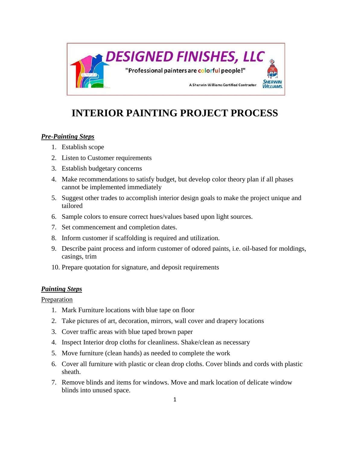

# **INTERIOR PAINTING PROJECT PROCESS**

### *Pre-Painting Steps*

- 1. Establish scope
- 2. Listen to Customer requirements
- 3. Establish budgetary concerns
- 4. Make recommendations to satisfy budget, but develop color theory plan if all phases cannot be implemented immediately
- 5. Suggest other trades to accomplish interior design goals to make the project unique and tailored
- 6. Sample colors to ensure correct hues/values based upon light sources.
- 7. Set commencement and completion dates.
- 8. Inform customer if scaffolding is required and utilization.
- 9. Describe paint process and inform customer of odored paints, i.e. oil-based for moldings, casings, trim
- 10. Prepare quotation for signature, and deposit requirements

### *Painting Steps*

**Preparation** 

- 1. Mark Furniture locations with blue tape on floor
- 2. Take pictures of art, decoration, mirrors, wall cover and drapery locations
- 3. Cover traffic areas with blue taped brown paper
- 4. Inspect Interior drop cloths for cleanliness. Shake/clean as necessary
- 5. Move furniture (clean hands) as needed to complete the work
- 6. Cover all furniture with plastic or clean drop cloths. Cover blinds and cords with plastic sheath.
- 7. Remove blinds and items for windows. Move and mark location of delicate window blinds into unused space.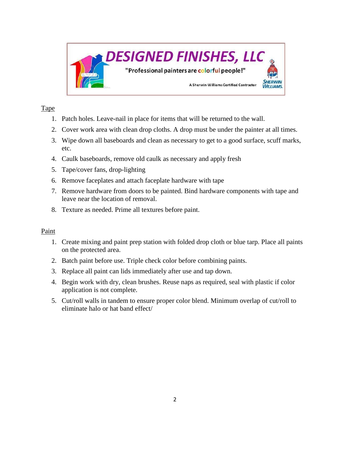

## Tape

- 1. Patch holes. Leave-nail in place for items that will be returned to the wall.
- 2. Cover work area with clean drop cloths. A drop must be under the painter at all times.
- 3. Wipe down all baseboards and clean as necessary to get to a good surface, scuff marks, etc.
- 4. Caulk baseboards, remove old caulk as necessary and apply fresh
- 5. Tape/cover fans, drop-lighting
- 6. Remove faceplates and attach faceplate hardware with tape
- 7. Remove hardware from doors to be painted. Bind hardware components with tape and leave near the location of removal.
- 8. Texture as needed. Prime all textures before paint.

# Paint

- 1. Create mixing and paint prep station with folded drop cloth or blue tarp. Place all paints on the protected area.
- 2. Batch paint before use. Triple check color before combining paints.
- 3. Replace all paint can lids immediately after use and tap down.
- 4. Begin work with dry, clean brushes. Reuse naps as required, seal with plastic if color application is not complete.
- 5. Cut/roll walls in tandem to ensure proper color blend. Minimum overlap of cut/roll to eliminate halo or hat band effect/